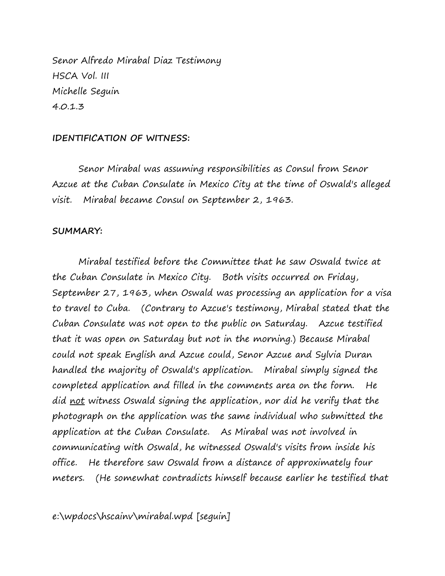Senor Alfredo Mirabal Diaz Testimony HSCA Vol. III Michelle Seguin 4.0.1.3

## **IDENTIFICATION OF WITNESS:**

Senor Mirabal was assuming responsibilities as Consul from Senor Azcue at the Cuban Consulate in Mexico City at the time of Oswald's alleged visit. Mirabal became Consul on September 2, 1963.

## **SUMMARY:**

Mirabal testified before the Committee that he saw Oswald twice at the Cuban Consulate in Mexico City. Both visits occurred on Friday, September 27, 1963, when Oswald was processing an application for a visa to travel to Cuba. (Contrary to Azcue's testimony, Mirabal stated that the Cuban Consulate was not open to the public on Saturday. Azcue testified that it was open on Saturday but not in the morning.) Because Mirabal could not speak English and Azcue could, Senor Azcue and Sylvia Duran handled the majority of Oswald's application. Mirabal simply signed the completed application and filled in the comments area on the form. He did not witness Oswald signing the application, nor did he verify that the photograph on the application was the same individual who submitted the application at the Cuban Consulate. As Mirabal was not involved in communicating with Oswald, he witnessed Oswald's visits from inside his office. He therefore saw Oswald from a distance of approximately four meters. (He somewhat contradicts himself because earlier he testified that

e:\wpdocs\hscainv\mirabal.wpd [seguin]